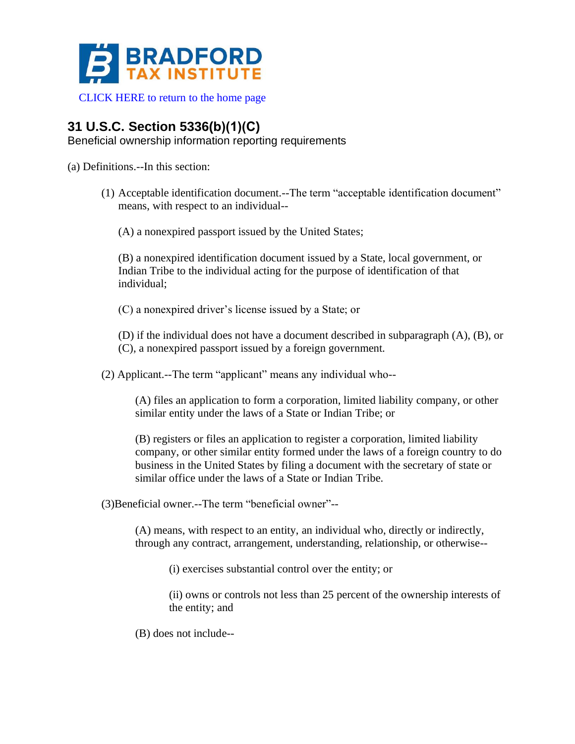

CLICK HERE to return to the home page

## **31 U.S.C. Section 5336(b)(1)(C)**

Beneficial ownership information reporting requirements

(a) Definitions.--In this section:

(1) Acceptable identification document.--The term "acceptable identification document" means, with respect to an individual--

(A) a nonexpired passport issued by the United States;

(B) a nonexpired identification document issued by a State, local government, or Indian Tribe to the individual acting for the purpose of identification of that individual;

(C) a nonexpired driver's license issued by a State; or

(D) if the individual does not have a document described in subparagraph (A), (B), or (C), a nonexpired passport issued by a foreign government.

(2) Applicant.--The term "applicant" means any individual who--

(A) files an application to form a corporation, limited liability company, or other similar entity under the laws of a State or Indian Tribe; or

(B) registers or files an application to register a corporation, limited liability company, or other similar entity formed under the laws of a foreign country to do business in the United States by filing a document with the secretary of state or similar office under the laws of a State or Indian Tribe.

(3)Beneficial owner.--The term "beneficial owner"--

(A) means, with respect to an entity, an individual who, directly or indirectly, through any contract, arrangement, understanding, relationship, or otherwise--

(i) exercises substantial control over the entity; or

(ii) owns or controls not less than 25 percent of the ownership interests of the entity; and

(B) does not include--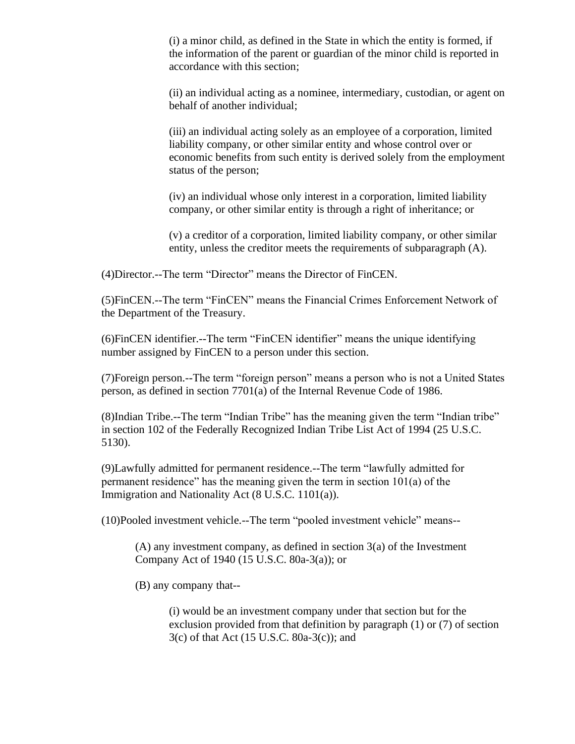(i) a minor child, as defined in the State in which the entity is formed, if the information of the parent or guardian of the minor child is reported in accordance with this section;

(ii) an individual acting as a nominee, intermediary, custodian, or agent on behalf of another individual;

(iii) an individual acting solely as an employee of a corporation, limited liability company, or other similar entity and whose control over or economic benefits from such entity is derived solely from the employment status of the person;

(iv) an individual whose only interest in a corporation, limited liability company, or other similar entity is through a right of inheritance; or

(v) a creditor of a corporation, limited liability company, or other similar entity, unless the creditor meets the requirements of subparagraph (A).

(4)Director.--The term "Director" means the Director of FinCEN.

(5)FinCEN.--The term "FinCEN" means the Financial Crimes Enforcement Network of the Department of the Treasury.

(6)FinCEN identifier.--The term "FinCEN identifier" means the unique identifying number assigned by FinCEN to a person under this section.

(7)Foreign person.--The term "foreign person" means a person who is not a United States person, as defined in section 7701(a) of the Internal Revenue Code of 1986.

(8)Indian Tribe.--The term "Indian Tribe" has the meaning given the term "Indian tribe" in section 102 of the Federally Recognized Indian Tribe List Act of 1994 (25 U.S.C. 5130).

(9)Lawfully admitted for permanent residence.--The term "lawfully admitted for permanent residence" has the meaning given the term in section 101(a) of the Immigration and Nationality Act (8 U.S.C. 1101(a)).

(10)Pooled investment vehicle.--The term "pooled investment vehicle" means--

(A) any investment company, as defined in section 3(a) of the Investment Company Act of 1940 (15 U.S.C. 80a-3(a)); or

(B) any company that--

(i) would be an investment company under that section but for the exclusion provided from that definition by paragraph (1) or (7) of section 3(c) of that Act (15 U.S.C. 80a-3(c)); and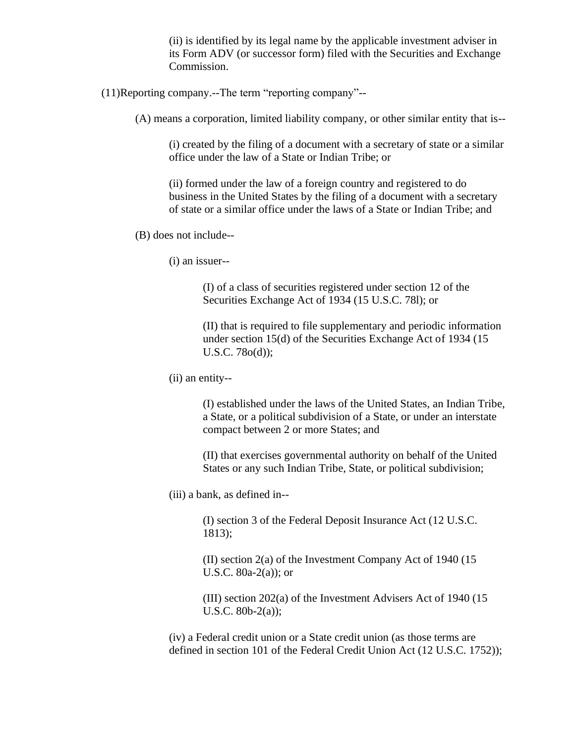(ii) is identified by its legal name by the applicable investment adviser in its Form ADV (or successor form) filed with the Securities and Exchange Commission.

(11)Reporting company.--The term "reporting company"--

(A) means a corporation, limited liability company, or other similar entity that is--

(i) created by the filing of a document with a secretary of state or a similar office under the law of a State or Indian Tribe; or

(ii) formed under the law of a foreign country and registered to do business in the United States by the filing of a document with a secretary of state or a similar office under the laws of a State or Indian Tribe; and

(B) does not include--

(i) an issuer--

(I) of a class of securities registered under section 12 of the Securities Exchange Act of 1934 (15 U.S.C. 78l); or

(II) that is required to file supplementary and periodic information under section 15(d) of the Securities Exchange Act of 1934 (15 U.S.C. 78o(d));

(ii) an entity--

(I) established under the laws of the United States, an Indian Tribe, a State, or a political subdivision of a State, or under an interstate compact between 2 or more States; and

(II) that exercises governmental authority on behalf of the United States or any such Indian Tribe, State, or political subdivision;

(iii) a bank, as defined in--

(I) section 3 of the Federal Deposit Insurance Act (12 U.S.C. 1813);

(II) section 2(a) of the Investment Company Act of 1940 (15 U.S.C.  $80a-2(a)$ ; or

(III) section 202(a) of the Investment Advisers Act of 1940 (15 U.S.C. 80b-2(a));

(iv) a Federal credit union or a State credit union (as those terms are defined in section 101 of the Federal Credit Union Act (12 U.S.C. 1752));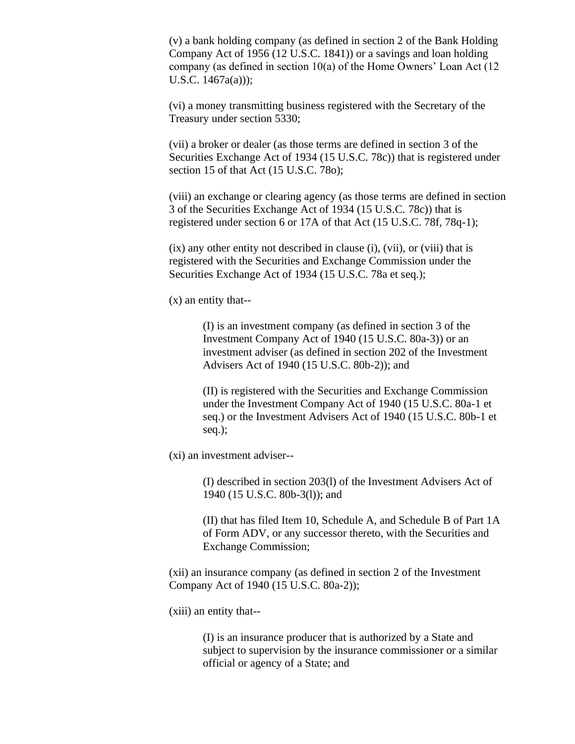(v) a bank holding company (as defined in section 2 of the Bank Holding Company Act of 1956 (12 U.S.C. 1841)) or a savings and loan holding company (as defined in section 10(a) of the Home Owners' Loan Act (12 U.S.C. 1467a(a)));

(vi) a money transmitting business registered with the Secretary of the Treasury under section 5330;

(vii) a broker or dealer (as those terms are defined in section 3 of the Securities Exchange Act of 1934 (15 U.S.C. 78c)) that is registered under section 15 of that Act (15 U.S.C. 780);

(viii) an exchange or clearing agency (as those terms are defined in section 3 of the Securities Exchange Act of 1934 (15 U.S.C. 78c)) that is registered under section 6 or 17A of that Act (15 U.S.C. 78f, 78q-1);

(ix) any other entity not described in clause (i), (vii), or (viii) that is registered with the Securities and Exchange Commission under the Securities Exchange Act of 1934 (15 U.S.C. 78a et seq.);

(x) an entity that--

(I) is an investment company (as defined in section 3 of the Investment Company Act of 1940 (15 U.S.C. 80a-3)) or an investment adviser (as defined in section 202 of the Investment Advisers Act of 1940 (15 U.S.C. 80b-2)); and

(II) is registered with the Securities and Exchange Commission under the Investment Company Act of 1940 (15 U.S.C. 80a-1 et seq.) or the Investment Advisers Act of 1940 (15 U.S.C. 80b-1 et seq.);

(xi) an investment adviser--

(I) described in section 203(l) of the Investment Advisers Act of 1940 (15 U.S.C. 80b-3(l)); and

(II) that has filed Item 10, Schedule A, and Schedule B of Part 1A of Form ADV, or any successor thereto, with the Securities and Exchange Commission;

(xii) an insurance company (as defined in section 2 of the Investment Company Act of 1940 (15 U.S.C. 80a-2));

(xiii) an entity that--

(I) is an insurance producer that is authorized by a State and subject to supervision by the insurance commissioner or a similar official or agency of a State; and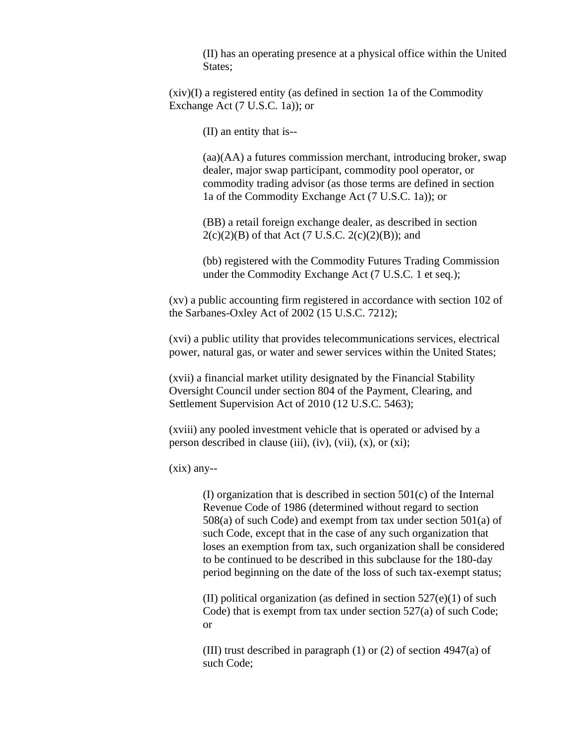(II) has an operating presence at a physical office within the United States;

(xiv)(I) a registered entity (as defined in section 1a of the Commodity Exchange Act (7 U.S.C. 1a)); or

(II) an entity that is--

(aa)(AA) a futures commission merchant, introducing broker, swap dealer, major swap participant, commodity pool operator, or commodity trading advisor (as those terms are defined in section 1a of the Commodity Exchange Act (7 U.S.C. 1a)); or

(BB) a retail foreign exchange dealer, as described in section  $2(c)(2)(B)$  of that Act (7 U.S.C.  $2(c)(2)(B)$ ); and

(bb) registered with the Commodity Futures Trading Commission under the Commodity Exchange Act (7 U.S.C. 1 et seq.);

(xv) a public accounting firm registered in accordance with section 102 of the Sarbanes-Oxley Act of 2002 (15 U.S.C. 7212);

(xvi) a public utility that provides telecommunications services, electrical power, natural gas, or water and sewer services within the United States;

(xvii) a financial market utility designated by the Financial Stability Oversight Council under section 804 of the Payment, Clearing, and Settlement Supervision Act of 2010 (12 U.S.C. 5463);

(xviii) any pooled investment vehicle that is operated or advised by a person described in clause (iii), (iv), (vii), (x), or (xi);

 $(xix)$  any--

(I) organization that is described in section 501(c) of the Internal Revenue Code of 1986 (determined without regard to section 508(a) of such Code) and exempt from tax under section 501(a) of such Code, except that in the case of any such organization that loses an exemption from tax, such organization shall be considered to be continued to be described in this subclause for the 180-day period beginning on the date of the loss of such tax-exempt status;

(II) political organization (as defined in section  $527(e)(1)$  of such Code) that is exempt from tax under section 527(a) of such Code; or

(III) trust described in paragraph (1) or (2) of section 4947(a) of such Code;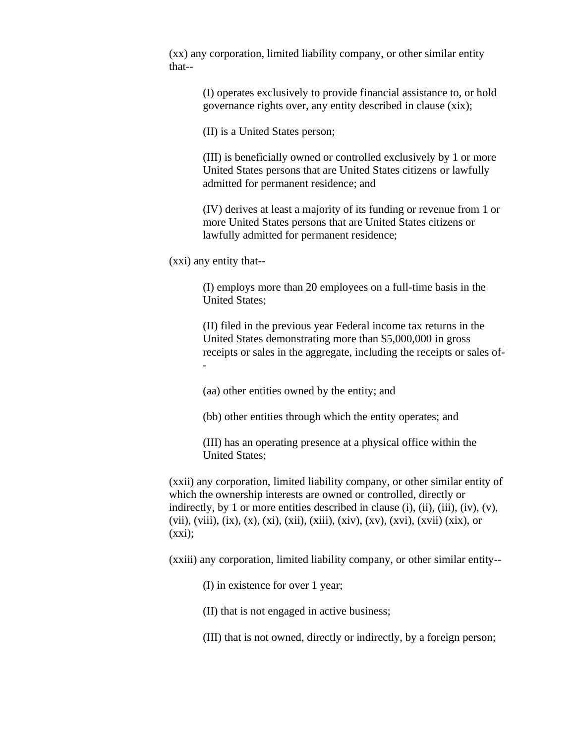(xx) any corporation, limited liability company, or other similar entity that--

> (I) operates exclusively to provide financial assistance to, or hold governance rights over, any entity described in clause (xix);

(II) is a United States person;

(III) is beneficially owned or controlled exclusively by 1 or more United States persons that are United States citizens or lawfully admitted for permanent residence; and

(IV) derives at least a majority of its funding or revenue from 1 or more United States persons that are United States citizens or lawfully admitted for permanent residence;

(xxi) any entity that--

(I) employs more than 20 employees on a full-time basis in the United States;

(II) filed in the previous year Federal income tax returns in the United States demonstrating more than \$5,000,000 in gross receipts or sales in the aggregate, including the receipts or sales of- -

(aa) other entities owned by the entity; and

(bb) other entities through which the entity operates; and

(III) has an operating presence at a physical office within the United States;

(xxii) any corporation, limited liability company, or other similar entity of which the ownership interests are owned or controlled, directly or indirectly, by 1 or more entities described in clause (i), (ii), (iii), (iv), (v), (vii), (viii), (ix), (x), (xi), (xii), (xiii), (xiv), (xv), (xvi), (xvii) (xix), or  $(xxi);$ 

(xxiii) any corporation, limited liability company, or other similar entity--

(I) in existence for over 1 year;

(II) that is not engaged in active business;

(III) that is not owned, directly or indirectly, by a foreign person;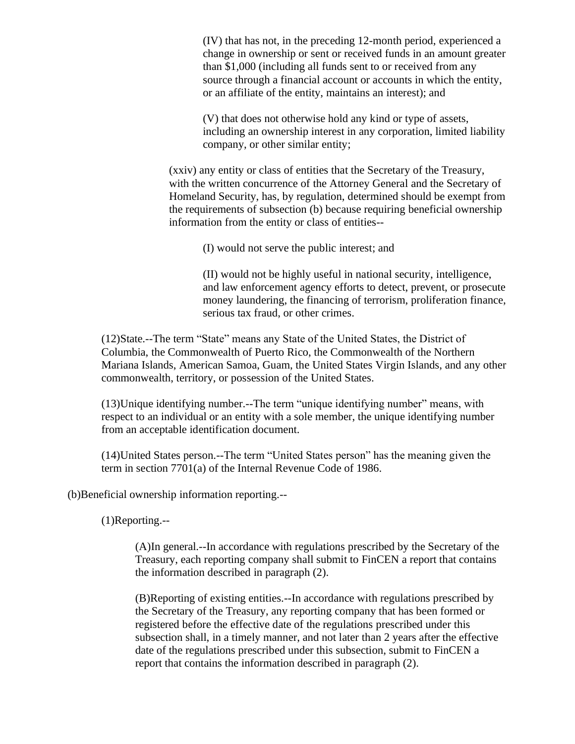(IV) that has not, in the preceding 12-month period, experienced a change in ownership or sent or received funds in an amount greater than \$1,000 (including all funds sent to or received from any source through a financial account or accounts in which the entity, or an affiliate of the entity, maintains an interest); and

(V) that does not otherwise hold any kind or type of assets, including an ownership interest in any corporation, limited liability company, or other similar entity;

(xxiv) any entity or class of entities that the Secretary of the Treasury, with the written concurrence of the Attorney General and the Secretary of Homeland Security, has, by regulation, determined should be exempt from the requirements of subsection (b) because requiring beneficial ownership information from the entity or class of entities--

(I) would not serve the public interest; and

(II) would not be highly useful in national security, intelligence, and law enforcement agency efforts to detect, prevent, or prosecute money laundering, the financing of terrorism, proliferation finance, serious tax fraud, or other crimes.

(12)State.--The term "State" means any State of the United States, the District of Columbia, the Commonwealth of Puerto Rico, the Commonwealth of the Northern Mariana Islands, American Samoa, Guam, the United States Virgin Islands, and any other commonwealth, territory, or possession of the United States.

(13)Unique identifying number.--The term "unique identifying number" means, with respect to an individual or an entity with a sole member, the unique identifying number from an acceptable identification document.

(14)United States person.--The term "United States person" has the meaning given the term in section 7701(a) of the Internal Revenue Code of 1986.

(b)Beneficial ownership information reporting.--

(1)Reporting.--

(A)In general.--In accordance with regulations prescribed by the Secretary of the Treasury, each reporting company shall submit to FinCEN a report that contains the information described in paragraph (2).

(B)Reporting of existing entities.--In accordance with regulations prescribed by the Secretary of the Treasury, any reporting company that has been formed or registered before the effective date of the regulations prescribed under this subsection shall, in a timely manner, and not later than 2 years after the effective date of the regulations prescribed under this subsection, submit to FinCEN a report that contains the information described in paragraph (2).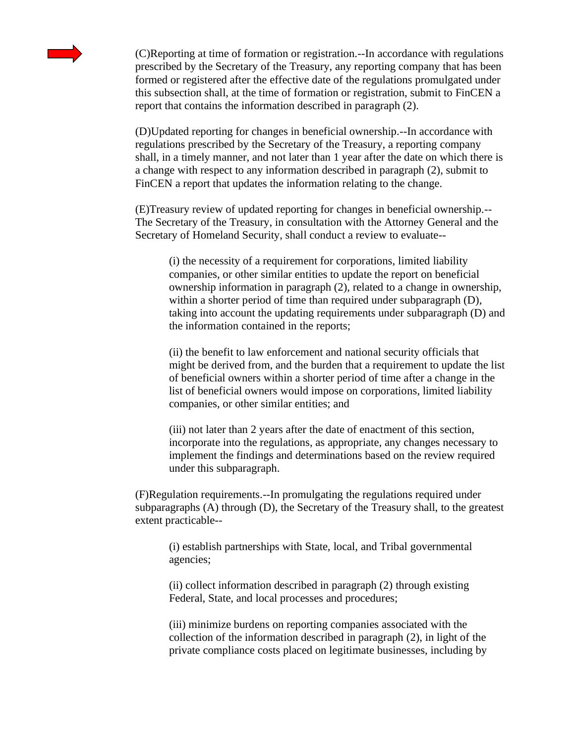

(C)Reporting at time of formation or registration.--In accordance with regulations prescribed by the Secretary of the Treasury, any reporting company that has been formed or registered after the effective date of the regulations promulgated under this subsection shall, at the time of formation or registration, submit to FinCEN a report that contains the information described in paragraph (2).

(D)Updated reporting for changes in beneficial ownership.--In accordance with regulations prescribed by the Secretary of the Treasury, a reporting company shall, in a timely manner, and not later than 1 year after the date on which there is a change with respect to any information described in paragraph (2), submit to FinCEN a report that updates the information relating to the change.

(E)Treasury review of updated reporting for changes in beneficial ownership.-- The Secretary of the Treasury, in consultation with the Attorney General and the Secretary of Homeland Security, shall conduct a review to evaluate--

(i) the necessity of a requirement for corporations, limited liability companies, or other similar entities to update the report on beneficial ownership information in paragraph (2), related to a change in ownership, within a shorter period of time than required under subparagraph (D), taking into account the updating requirements under subparagraph (D) and the information contained in the reports;

(ii) the benefit to law enforcement and national security officials that might be derived from, and the burden that a requirement to update the list of beneficial owners within a shorter period of time after a change in the list of beneficial owners would impose on corporations, limited liability companies, or other similar entities; and

(iii) not later than 2 years after the date of enactment of this section, incorporate into the regulations, as appropriate, any changes necessary to implement the findings and determinations based on the review required under this subparagraph.

(F)Regulation requirements.--In promulgating the regulations required under subparagraphs (A) through (D), the Secretary of the Treasury shall, to the greatest extent practicable--

(i) establish partnerships with State, local, and Tribal governmental agencies;

(ii) collect information described in paragraph (2) through existing Federal, State, and local processes and procedures;

(iii) minimize burdens on reporting companies associated with the collection of the information described in paragraph (2), in light of the private compliance costs placed on legitimate businesses, including by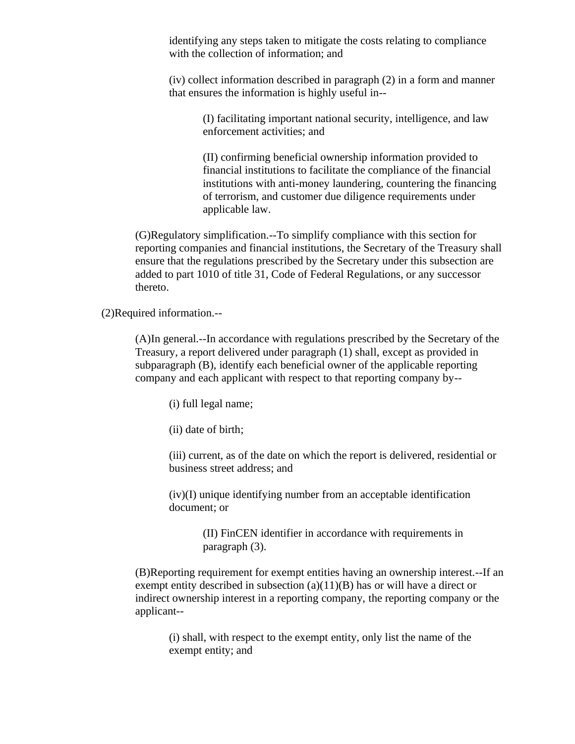identifying any steps taken to mitigate the costs relating to compliance with the collection of information; and

(iv) collect information described in paragraph (2) in a form and manner that ensures the information is highly useful in--

> (I) facilitating important national security, intelligence, and law enforcement activities; and

(II) confirming beneficial ownership information provided to financial institutions to facilitate the compliance of the financial institutions with anti-money laundering, countering the financing of terrorism, and customer due diligence requirements under applicable law.

(G)Regulatory simplification.--To simplify compliance with this section for reporting companies and financial institutions, the Secretary of the Treasury shall ensure that the regulations prescribed by the Secretary under this subsection are added to part 1010 of title 31, Code of Federal Regulations, or any successor thereto.

(2)Required information.--

(A)In general.--In accordance with regulations prescribed by the Secretary of the Treasury, a report delivered under paragraph (1) shall, except as provided in subparagraph (B), identify each beneficial owner of the applicable reporting company and each applicant with respect to that reporting company by--

(i) full legal name;

(ii) date of birth;

(iii) current, as of the date on which the report is delivered, residential or business street address; and

(iv)(I) unique identifying number from an acceptable identification document; or

> (II) FinCEN identifier in accordance with requirements in paragraph (3).

(B)Reporting requirement for exempt entities having an ownership interest.--If an exempt entity described in subsection  $(a)(11)(B)$  has or will have a direct or indirect ownership interest in a reporting company, the reporting company or the applicant--

(i) shall, with respect to the exempt entity, only list the name of the exempt entity; and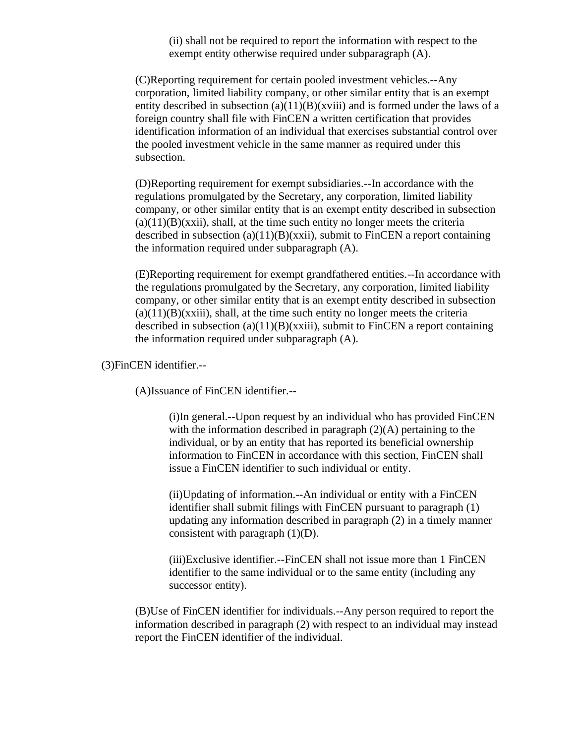(ii) shall not be required to report the information with respect to the exempt entity otherwise required under subparagraph (A).

(C)Reporting requirement for certain pooled investment vehicles.--Any corporation, limited liability company, or other similar entity that is an exempt entity described in subsection (a)(11)(B)(xviii) and is formed under the laws of a foreign country shall file with FinCEN a written certification that provides identification information of an individual that exercises substantial control over the pooled investment vehicle in the same manner as required under this subsection.

(D)Reporting requirement for exempt subsidiaries.--In accordance with the regulations promulgated by the Secretary, any corporation, limited liability company, or other similar entity that is an exempt entity described in subsection  $(a)(11)(B)(xxii)$ , shall, at the time such entity no longer meets the criteria described in subsection (a)(11)(B)(xxii), submit to FinCEN a report containing the information required under subparagraph (A).

(E)Reporting requirement for exempt grandfathered entities.--In accordance with the regulations promulgated by the Secretary, any corporation, limited liability company, or other similar entity that is an exempt entity described in subsection  $(a)(11)(B)(xxiii)$ , shall, at the time such entity no longer meets the criteria described in subsection (a)(11)(B)(xxiii), submit to FinCEN a report containing the information required under subparagraph (A).

(3)FinCEN identifier.--

(A)Issuance of FinCEN identifier.--

(i)In general.--Upon request by an individual who has provided FinCEN with the information described in paragraph  $(2)(A)$  pertaining to the individual, or by an entity that has reported its beneficial ownership information to FinCEN in accordance with this section, FinCEN shall issue a FinCEN identifier to such individual or entity.

(ii)Updating of information.--An individual or entity with a FinCEN identifier shall submit filings with FinCEN pursuant to paragraph (1) updating any information described in paragraph (2) in a timely manner consistent with paragraph  $(1)(D)$ .

(iii)Exclusive identifier.--FinCEN shall not issue more than 1 FinCEN identifier to the same individual or to the same entity (including any successor entity).

(B)Use of FinCEN identifier for individuals.--Any person required to report the information described in paragraph (2) with respect to an individual may instead report the FinCEN identifier of the individual.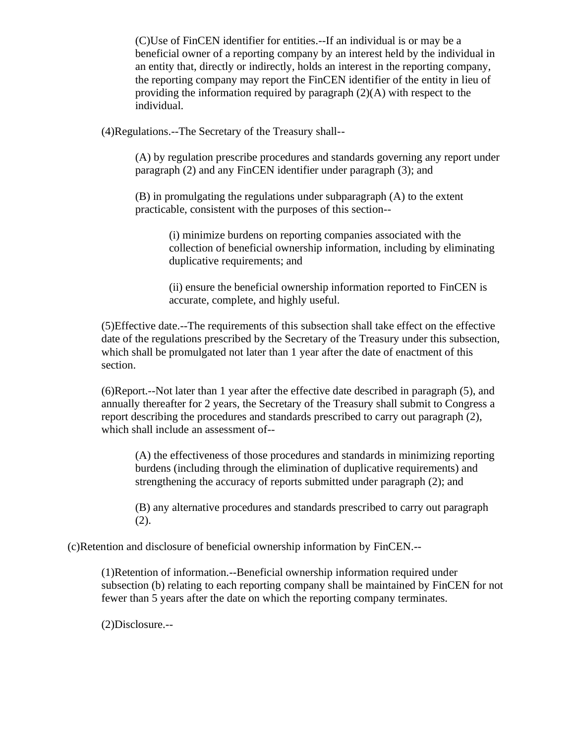(C)Use of FinCEN identifier for entities.--If an individual is or may be a beneficial owner of a reporting company by an interest held by the individual in an entity that, directly or indirectly, holds an interest in the reporting company, the reporting company may report the FinCEN identifier of the entity in lieu of providing the information required by paragraph (2)(A) with respect to the individual.

(4)Regulations.--The Secretary of the Treasury shall--

(A) by regulation prescribe procedures and standards governing any report under paragraph (2) and any FinCEN identifier under paragraph (3); and

(B) in promulgating the regulations under subparagraph (A) to the extent practicable, consistent with the purposes of this section--

> (i) minimize burdens on reporting companies associated with the collection of beneficial ownership information, including by eliminating duplicative requirements; and

(ii) ensure the beneficial ownership information reported to FinCEN is accurate, complete, and highly useful.

(5)Effective date.--The requirements of this subsection shall take effect on the effective date of the regulations prescribed by the Secretary of the Treasury under this subsection, which shall be promulgated not later than 1 year after the date of enactment of this section.

(6)Report.--Not later than 1 year after the effective date described in paragraph (5), and annually thereafter for 2 years, the Secretary of the Treasury shall submit to Congress a report describing the procedures and standards prescribed to carry out paragraph (2), which shall include an assessment of--

(A) the effectiveness of those procedures and standards in minimizing reporting burdens (including through the elimination of duplicative requirements) and strengthening the accuracy of reports submitted under paragraph (2); and

(B) any alternative procedures and standards prescribed to carry out paragraph (2).

(c)Retention and disclosure of beneficial ownership information by FinCEN.--

(1)Retention of information.--Beneficial ownership information required under subsection (b) relating to each reporting company shall be maintained by FinCEN for not fewer than 5 years after the date on which the reporting company terminates.

(2)Disclosure.--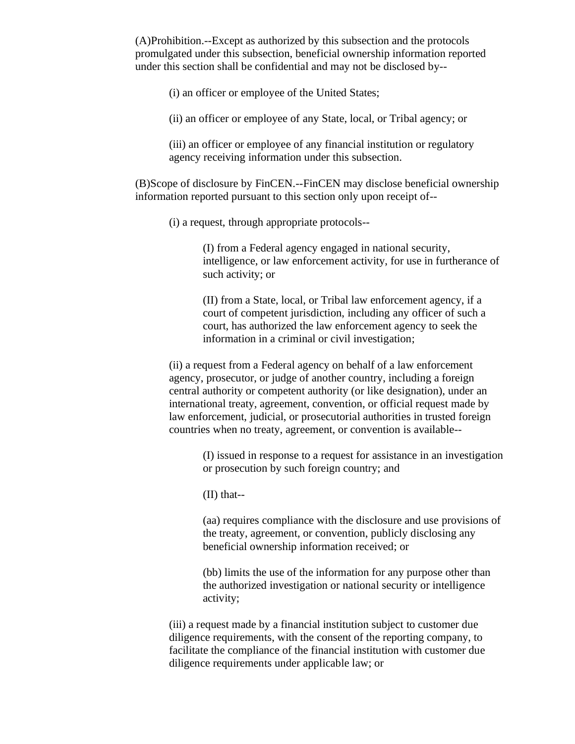(A)Prohibition.--Except as authorized by this subsection and the protocols promulgated under this subsection, beneficial ownership information reported under this section shall be confidential and may not be disclosed by--

(i) an officer or employee of the United States;

(ii) an officer or employee of any State, local, or Tribal agency; or

(iii) an officer or employee of any financial institution or regulatory agency receiving information under this subsection.

(B)Scope of disclosure by FinCEN.--FinCEN may disclose beneficial ownership information reported pursuant to this section only upon receipt of--

(i) a request, through appropriate protocols--

(I) from a Federal agency engaged in national security, intelligence, or law enforcement activity, for use in furtherance of such activity; or

(II) from a State, local, or Tribal law enforcement agency, if a court of competent jurisdiction, including any officer of such a court, has authorized the law enforcement agency to seek the information in a criminal or civil investigation;

(ii) a request from a Federal agency on behalf of a law enforcement agency, prosecutor, or judge of another country, including a foreign central authority or competent authority (or like designation), under an international treaty, agreement, convention, or official request made by law enforcement, judicial, or prosecutorial authorities in trusted foreign countries when no treaty, agreement, or convention is available--

> (I) issued in response to a request for assistance in an investigation or prosecution by such foreign country; and

(II) that--

(aa) requires compliance with the disclosure and use provisions of the treaty, agreement, or convention, publicly disclosing any beneficial ownership information received; or

(bb) limits the use of the information for any purpose other than the authorized investigation or national security or intelligence activity;

(iii) a request made by a financial institution subject to customer due diligence requirements, with the consent of the reporting company, to facilitate the compliance of the financial institution with customer due diligence requirements under applicable law; or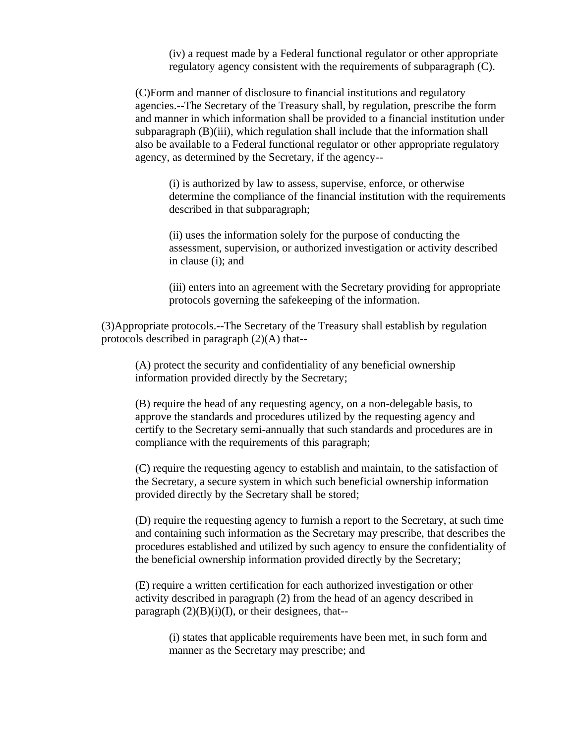(iv) a request made by a Federal functional regulator or other appropriate regulatory agency consistent with the requirements of subparagraph (C).

(C)Form and manner of disclosure to financial institutions and regulatory agencies.--The Secretary of the Treasury shall, by regulation, prescribe the form and manner in which information shall be provided to a financial institution under subparagraph (B)(iii), which regulation shall include that the information shall also be available to a Federal functional regulator or other appropriate regulatory agency, as determined by the Secretary, if the agency--

(i) is authorized by law to assess, supervise, enforce, or otherwise determine the compliance of the financial institution with the requirements described in that subparagraph;

(ii) uses the information solely for the purpose of conducting the assessment, supervision, or authorized investigation or activity described in clause (i); and

(iii) enters into an agreement with the Secretary providing for appropriate protocols governing the safekeeping of the information.

(3)Appropriate protocols.--The Secretary of the Treasury shall establish by regulation protocols described in paragraph (2)(A) that--

(A) protect the security and confidentiality of any beneficial ownership information provided directly by the Secretary;

(B) require the head of any requesting agency, on a non-delegable basis, to approve the standards and procedures utilized by the requesting agency and certify to the Secretary semi-annually that such standards and procedures are in compliance with the requirements of this paragraph;

(C) require the requesting agency to establish and maintain, to the satisfaction of the Secretary, a secure system in which such beneficial ownership information provided directly by the Secretary shall be stored;

(D) require the requesting agency to furnish a report to the Secretary, at such time and containing such information as the Secretary may prescribe, that describes the procedures established and utilized by such agency to ensure the confidentiality of the beneficial ownership information provided directly by the Secretary;

(E) require a written certification for each authorized investigation or other activity described in paragraph (2) from the head of an agency described in paragraph  $(2)(B)(i)(I)$ , or their designees, that--

(i) states that applicable requirements have been met, in such form and manner as the Secretary may prescribe; and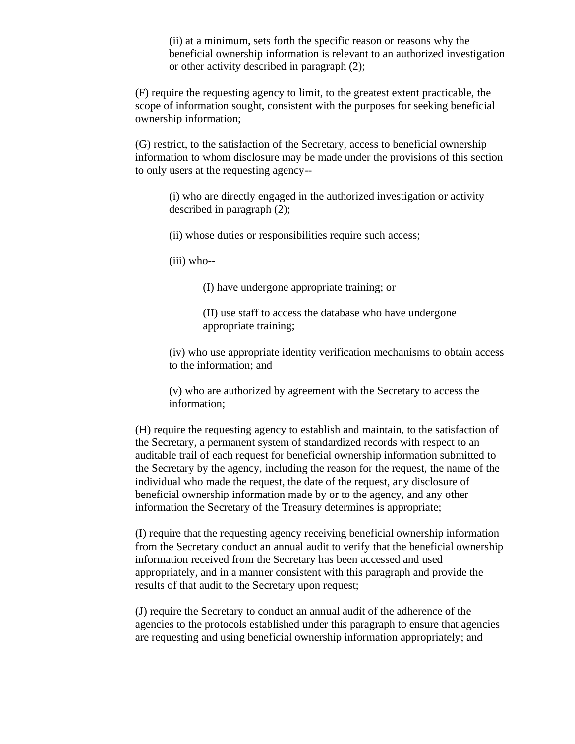(ii) at a minimum, sets forth the specific reason or reasons why the beneficial ownership information is relevant to an authorized investigation or other activity described in paragraph (2);

(F) require the requesting agency to limit, to the greatest extent practicable, the scope of information sought, consistent with the purposes for seeking beneficial ownership information;

(G) restrict, to the satisfaction of the Secretary, access to beneficial ownership information to whom disclosure may be made under the provisions of this section to only users at the requesting agency--

(i) who are directly engaged in the authorized investigation or activity described in paragraph (2);

(ii) whose duties or responsibilities require such access;

(iii) who--

(I) have undergone appropriate training; or

(II) use staff to access the database who have undergone appropriate training;

(iv) who use appropriate identity verification mechanisms to obtain access to the information; and

(v) who are authorized by agreement with the Secretary to access the information;

(H) require the requesting agency to establish and maintain, to the satisfaction of the Secretary, a permanent system of standardized records with respect to an auditable trail of each request for beneficial ownership information submitted to the Secretary by the agency, including the reason for the request, the name of the individual who made the request, the date of the request, any disclosure of beneficial ownership information made by or to the agency, and any other information the Secretary of the Treasury determines is appropriate;

(I) require that the requesting agency receiving beneficial ownership information from the Secretary conduct an annual audit to verify that the beneficial ownership information received from the Secretary has been accessed and used appropriately, and in a manner consistent with this paragraph and provide the results of that audit to the Secretary upon request;

(J) require the Secretary to conduct an annual audit of the adherence of the agencies to the protocols established under this paragraph to ensure that agencies are requesting and using beneficial ownership information appropriately; and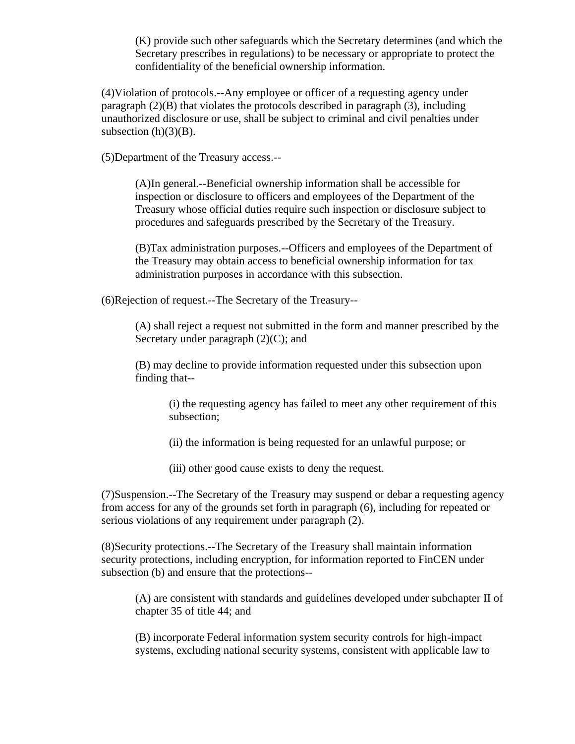(K) provide such other safeguards which the Secretary determines (and which the Secretary prescribes in regulations) to be necessary or appropriate to protect the confidentiality of the beneficial ownership information.

(4)Violation of protocols.--Any employee or officer of a requesting agency under paragraph  $(2)(B)$  that violates the protocols described in paragraph  $(3)$ , including unauthorized disclosure or use, shall be subject to criminal and civil penalties under subsection  $(h)(3)(B)$ .

(5)Department of the Treasury access.--

(A)In general.--Beneficial ownership information shall be accessible for inspection or disclosure to officers and employees of the Department of the Treasury whose official duties require such inspection or disclosure subject to procedures and safeguards prescribed by the Secretary of the Treasury.

(B)Tax administration purposes.--Officers and employees of the Department of the Treasury may obtain access to beneficial ownership information for tax administration purposes in accordance with this subsection.

(6)Rejection of request.--The Secretary of the Treasury--

(A) shall reject a request not submitted in the form and manner prescribed by the Secretary under paragraph  $(2)(C)$ ; and

(B) may decline to provide information requested under this subsection upon finding that--

(i) the requesting agency has failed to meet any other requirement of this subsection;

(ii) the information is being requested for an unlawful purpose; or

(iii) other good cause exists to deny the request.

(7)Suspension.--The Secretary of the Treasury may suspend or debar a requesting agency from access for any of the grounds set forth in paragraph (6), including for repeated or serious violations of any requirement under paragraph (2).

(8)Security protections.--The Secretary of the Treasury shall maintain information security protections, including encryption, for information reported to FinCEN under subsection (b) and ensure that the protections--

(A) are consistent with standards and guidelines developed under subchapter II of chapter 35 of title 44; and

(B) incorporate Federal information system security controls for high-impact systems, excluding national security systems, consistent with applicable law to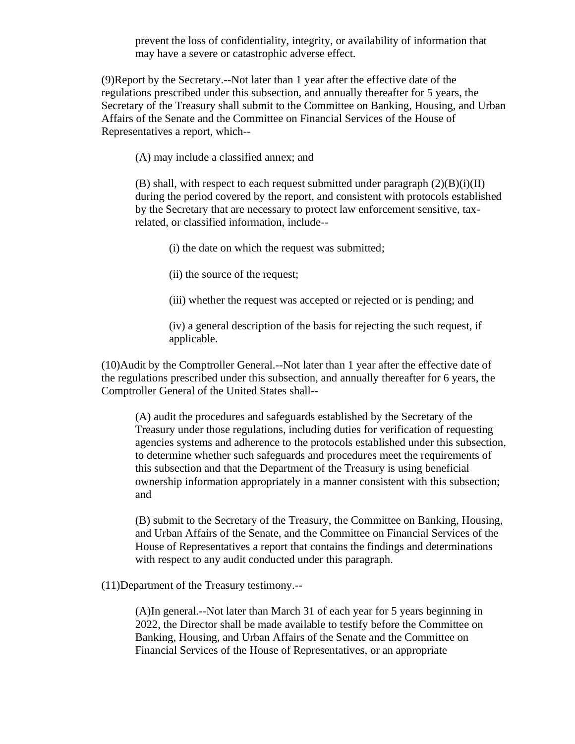prevent the loss of confidentiality, integrity, or availability of information that may have a severe or catastrophic adverse effect.

(9)Report by the Secretary.--Not later than 1 year after the effective date of the regulations prescribed under this subsection, and annually thereafter for 5 years, the Secretary of the Treasury shall submit to the Committee on Banking, Housing, and Urban Affairs of the Senate and the Committee on Financial Services of the House of Representatives a report, which--

(A) may include a classified annex; and

(B) shall, with respect to each request submitted under paragraph  $(2)(B)(i)(II)$ during the period covered by the report, and consistent with protocols established by the Secretary that are necessary to protect law enforcement sensitive, taxrelated, or classified information, include--

(i) the date on which the request was submitted;

- (ii) the source of the request;
- (iii) whether the request was accepted or rejected or is pending; and

(iv) a general description of the basis for rejecting the such request, if applicable.

(10)Audit by the Comptroller General.--Not later than 1 year after the effective date of the regulations prescribed under this subsection, and annually thereafter for 6 years, the Comptroller General of the United States shall--

(A) audit the procedures and safeguards established by the Secretary of the Treasury under those regulations, including duties for verification of requesting agencies systems and adherence to the protocols established under this subsection, to determine whether such safeguards and procedures meet the requirements of this subsection and that the Department of the Treasury is using beneficial ownership information appropriately in a manner consistent with this subsection; and

(B) submit to the Secretary of the Treasury, the Committee on Banking, Housing, and Urban Affairs of the Senate, and the Committee on Financial Services of the House of Representatives a report that contains the findings and determinations with respect to any audit conducted under this paragraph.

(11)Department of the Treasury testimony.--

(A)In general.--Not later than March 31 of each year for 5 years beginning in 2022, the Director shall be made available to testify before the Committee on Banking, Housing, and Urban Affairs of the Senate and the Committee on Financial Services of the House of Representatives, or an appropriate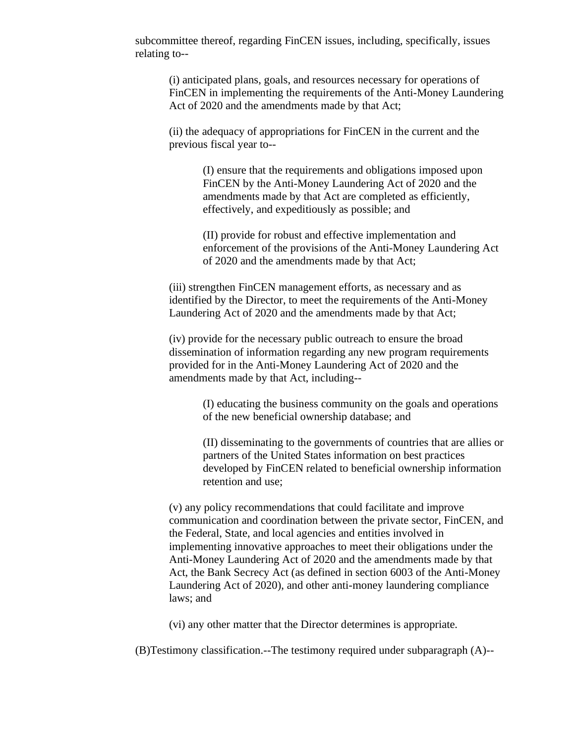subcommittee thereof, regarding FinCEN issues, including, specifically, issues relating to--

(i) anticipated plans, goals, and resources necessary for operations of FinCEN in implementing the requirements of the Anti-Money Laundering Act of 2020 and the amendments made by that Act;

(ii) the adequacy of appropriations for FinCEN in the current and the previous fiscal year to--

> (I) ensure that the requirements and obligations imposed upon FinCEN by the Anti-Money Laundering Act of 2020 and the amendments made by that Act are completed as efficiently, effectively, and expeditiously as possible; and

(II) provide for robust and effective implementation and enforcement of the provisions of the Anti-Money Laundering Act of 2020 and the amendments made by that Act;

(iii) strengthen FinCEN management efforts, as necessary and as identified by the Director, to meet the requirements of the Anti-Money Laundering Act of 2020 and the amendments made by that Act;

(iv) provide for the necessary public outreach to ensure the broad dissemination of information regarding any new program requirements provided for in the Anti-Money Laundering Act of 2020 and the amendments made by that Act, including--

> (I) educating the business community on the goals and operations of the new beneficial ownership database; and

(II) disseminating to the governments of countries that are allies or partners of the United States information on best practices developed by FinCEN related to beneficial ownership information retention and use;

(v) any policy recommendations that could facilitate and improve communication and coordination between the private sector, FinCEN, and the Federal, State, and local agencies and entities involved in implementing innovative approaches to meet their obligations under the Anti-Money Laundering Act of 2020 and the amendments made by that Act, the Bank Secrecy Act (as defined in section 6003 of the Anti-Money Laundering Act of 2020), and other anti-money laundering compliance laws; and

(vi) any other matter that the Director determines is appropriate.

(B)Testimony classification.--The testimony required under subparagraph (A)--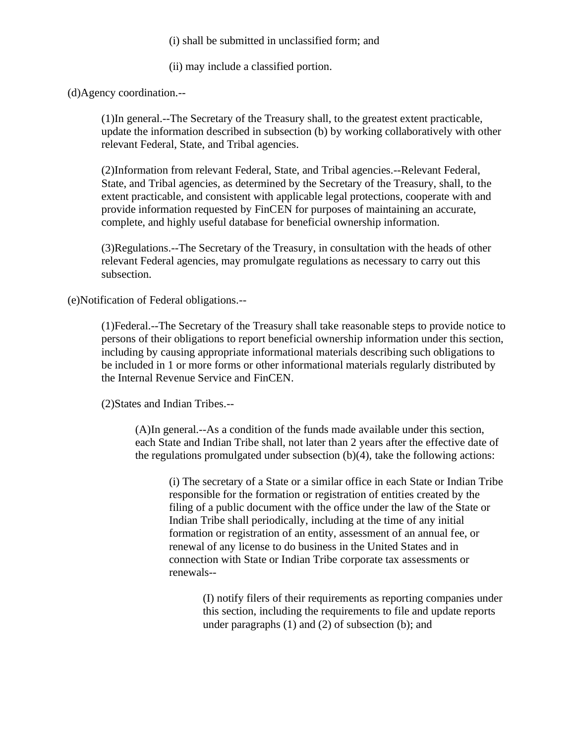- (i) shall be submitted in unclassified form; and
- (ii) may include a classified portion.

(d)Agency coordination.--

(1)In general.--The Secretary of the Treasury shall, to the greatest extent practicable, update the information described in subsection (b) by working collaboratively with other relevant Federal, State, and Tribal agencies.

(2)Information from relevant Federal, State, and Tribal agencies.--Relevant Federal, State, and Tribal agencies, as determined by the Secretary of the Treasury, shall, to the extent practicable, and consistent with applicable legal protections, cooperate with and provide information requested by FinCEN for purposes of maintaining an accurate, complete, and highly useful database for beneficial ownership information.

(3)Regulations.--The Secretary of the Treasury, in consultation with the heads of other relevant Federal agencies, may promulgate regulations as necessary to carry out this subsection.

(e)Notification of Federal obligations.--

(1)Federal.--The Secretary of the Treasury shall take reasonable steps to provide notice to persons of their obligations to report beneficial ownership information under this section, including by causing appropriate informational materials describing such obligations to be included in 1 or more forms or other informational materials regularly distributed by the Internal Revenue Service and FinCEN.

(2)States and Indian Tribes.--

(A)In general.--As a condition of the funds made available under this section, each State and Indian Tribe shall, not later than 2 years after the effective date of the regulations promulgated under subsection (b)(4), take the following actions:

(i) The secretary of a State or a similar office in each State or Indian Tribe responsible for the formation or registration of entities created by the filing of a public document with the office under the law of the State or Indian Tribe shall periodically, including at the time of any initial formation or registration of an entity, assessment of an annual fee, or renewal of any license to do business in the United States and in connection with State or Indian Tribe corporate tax assessments or renewals--

> (I) notify filers of their requirements as reporting companies under this section, including the requirements to file and update reports under paragraphs (1) and (2) of subsection (b); and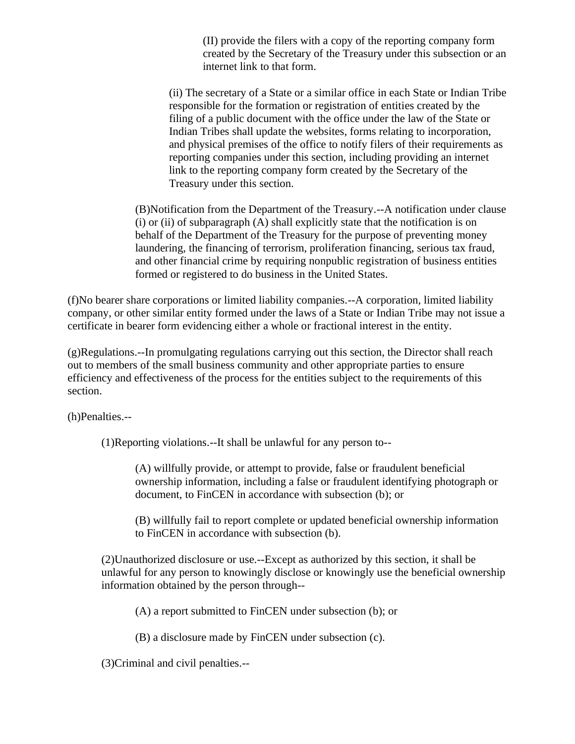(II) provide the filers with a copy of the reporting company form created by the Secretary of the Treasury under this subsection or an internet link to that form.

(ii) The secretary of a State or a similar office in each State or Indian Tribe responsible for the formation or registration of entities created by the filing of a public document with the office under the law of the State or Indian Tribes shall update the websites, forms relating to incorporation, and physical premises of the office to notify filers of their requirements as reporting companies under this section, including providing an internet link to the reporting company form created by the Secretary of the Treasury under this section.

(B)Notification from the Department of the Treasury.--A notification under clause (i) or (ii) of subparagraph (A) shall explicitly state that the notification is on behalf of the Department of the Treasury for the purpose of preventing money laundering, the financing of terrorism, proliferation financing, serious tax fraud, and other financial crime by requiring nonpublic registration of business entities formed or registered to do business in the United States.

(f)No bearer share corporations or limited liability companies.--A corporation, limited liability company, or other similar entity formed under the laws of a State or Indian Tribe may not issue a certificate in bearer form evidencing either a whole or fractional interest in the entity.

(g)Regulations.--In promulgating regulations carrying out this section, the Director shall reach out to members of the small business community and other appropriate parties to ensure efficiency and effectiveness of the process for the entities subject to the requirements of this section.

(h)Penalties.--

(1)Reporting violations.--It shall be unlawful for any person to--

(A) willfully provide, or attempt to provide, false or fraudulent beneficial ownership information, including a false or fraudulent identifying photograph or document, to FinCEN in accordance with subsection (b); or

(B) willfully fail to report complete or updated beneficial ownership information to FinCEN in accordance with subsection (b).

(2)Unauthorized disclosure or use.--Except as authorized by this section, it shall be unlawful for any person to knowingly disclose or knowingly use the beneficial ownership information obtained by the person through--

(A) a report submitted to FinCEN under subsection (b); or

(B) a disclosure made by FinCEN under subsection (c).

(3)Criminal and civil penalties.--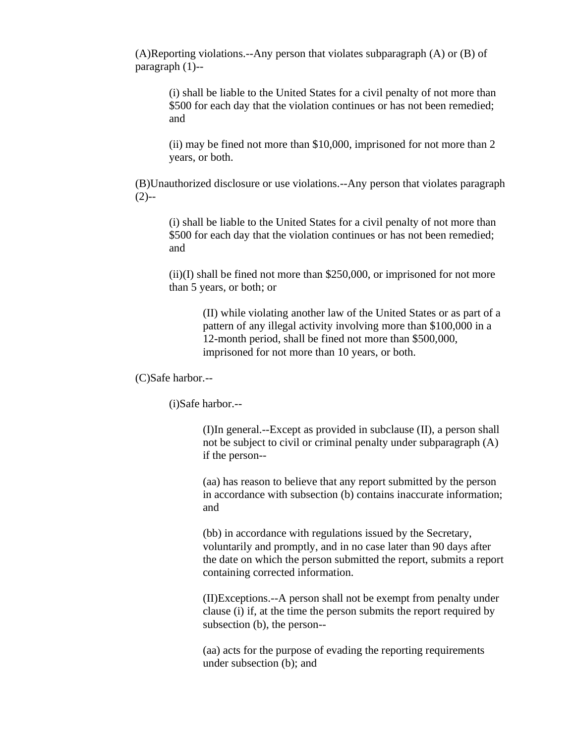(A)Reporting violations.--Any person that violates subparagraph (A) or (B) of paragraph (1)--

(i) shall be liable to the United States for a civil penalty of not more than \$500 for each day that the violation continues or has not been remedied; and

(ii) may be fined not more than \$10,000, imprisoned for not more than 2 years, or both.

(B)Unauthorized disclosure or use violations.--Any person that violates paragraph  $(2)$ --

(i) shall be liable to the United States for a civil penalty of not more than \$500 for each day that the violation continues or has not been remedied; and

(ii)(I) shall be fined not more than \$250,000, or imprisoned for not more than 5 years, or both; or

> (II) while violating another law of the United States or as part of a pattern of any illegal activity involving more than \$100,000 in a 12-month period, shall be fined not more than \$500,000, imprisoned for not more than 10 years, or both.

(C)Safe harbor.--

(i)Safe harbor.--

(I)In general.--Except as provided in subclause (II), a person shall not be subject to civil or criminal penalty under subparagraph (A) if the person--

(aa) has reason to believe that any report submitted by the person in accordance with subsection (b) contains inaccurate information; and

(bb) in accordance with regulations issued by the Secretary, voluntarily and promptly, and in no case later than 90 days after the date on which the person submitted the report, submits a report containing corrected information.

(II)Exceptions.--A person shall not be exempt from penalty under clause (i) if, at the time the person submits the report required by subsection (b), the person--

(aa) acts for the purpose of evading the reporting requirements under subsection (b); and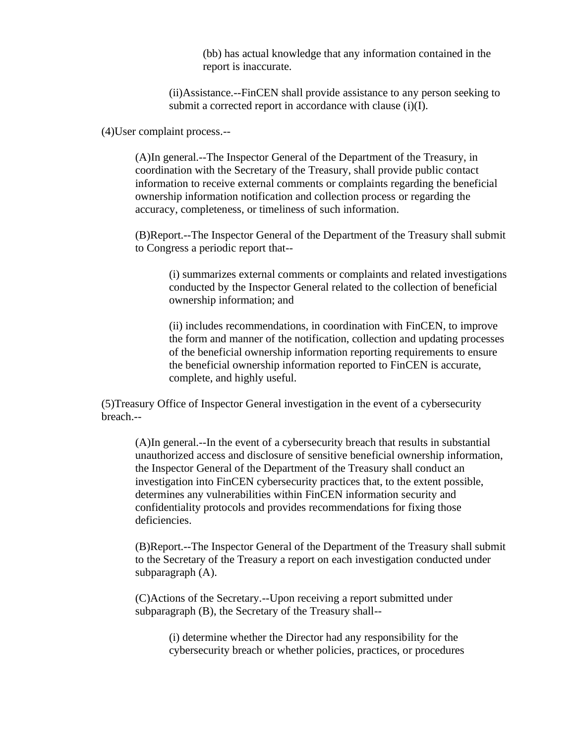(bb) has actual knowledge that any information contained in the report is inaccurate.

(ii)Assistance.--FinCEN shall provide assistance to any person seeking to submit a corrected report in accordance with clause (i)(I).

(4)User complaint process.--

(A)In general.--The Inspector General of the Department of the Treasury, in coordination with the Secretary of the Treasury, shall provide public contact information to receive external comments or complaints regarding the beneficial ownership information notification and collection process or regarding the accuracy, completeness, or timeliness of such information.

(B)Report.--The Inspector General of the Department of the Treasury shall submit to Congress a periodic report that--

(i) summarizes external comments or complaints and related investigations conducted by the Inspector General related to the collection of beneficial ownership information; and

(ii) includes recommendations, in coordination with FinCEN, to improve the form and manner of the notification, collection and updating processes of the beneficial ownership information reporting requirements to ensure the beneficial ownership information reported to FinCEN is accurate, complete, and highly useful.

(5)Treasury Office of Inspector General investigation in the event of a cybersecurity breach.--

(A)In general.--In the event of a cybersecurity breach that results in substantial unauthorized access and disclosure of sensitive beneficial ownership information, the Inspector General of the Department of the Treasury shall conduct an investigation into FinCEN cybersecurity practices that, to the extent possible, determines any vulnerabilities within FinCEN information security and confidentiality protocols and provides recommendations for fixing those deficiencies.

(B)Report.--The Inspector General of the Department of the Treasury shall submit to the Secretary of the Treasury a report on each investigation conducted under subparagraph (A).

(C)Actions of the Secretary.--Upon receiving a report submitted under subparagraph (B), the Secretary of the Treasury shall--

> (i) determine whether the Director had any responsibility for the cybersecurity breach or whether policies, practices, or procedures